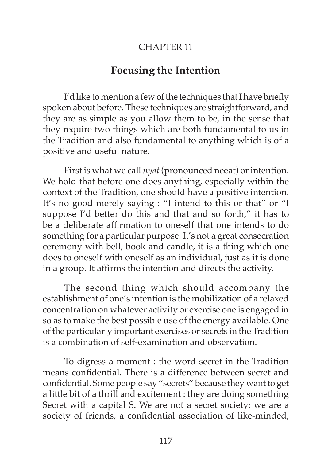## CHAPTER 11

## **Focusing the Intention**

I'd like to mention a few of the techniques that I have briefly spoken about before. These techniques are straightforward, and they are as simple as you allow them to be, in the sense that they require two things which are both fundamental to us in the Tradition and also fundamental to anything which is of a positive and useful nature.

First is what we call *nyat* (pronounced neeat) or intention. We hold that before one does anything, especially within the context of the Tradition, one should have a positive intention. It's no good merely saying : "I intend to this or that" or "I suppose I'd better do this and that and so forth," it has to be a deliberate affirmation to oneself that one intends to do something for a particular purpose. It's not a great consecration ceremony with bell, book and candle, it is a thing which one does to oneself with oneself as an individual, just as it is done in a group. It affirms the intention and directs the activity.

The second thing which should accompany the establishment of one's intention is the mobilization of a relaxed concentration on whatever activity or exercise one is engaged in so as to make the best possible use of the energy available. One of the particularly important exercises or secrets in the Tradition is a combination of self-examination and observation.

To digress a moment : the word secret in the Tradition means confidential. There is a difference between secret and confidential. Some people say "secrets" because they want to get a little bit of a thrill and excitement : they are doing something Secret with a capital S. We are not a secret society: we are a society of friends, a confidential association of like-minded,